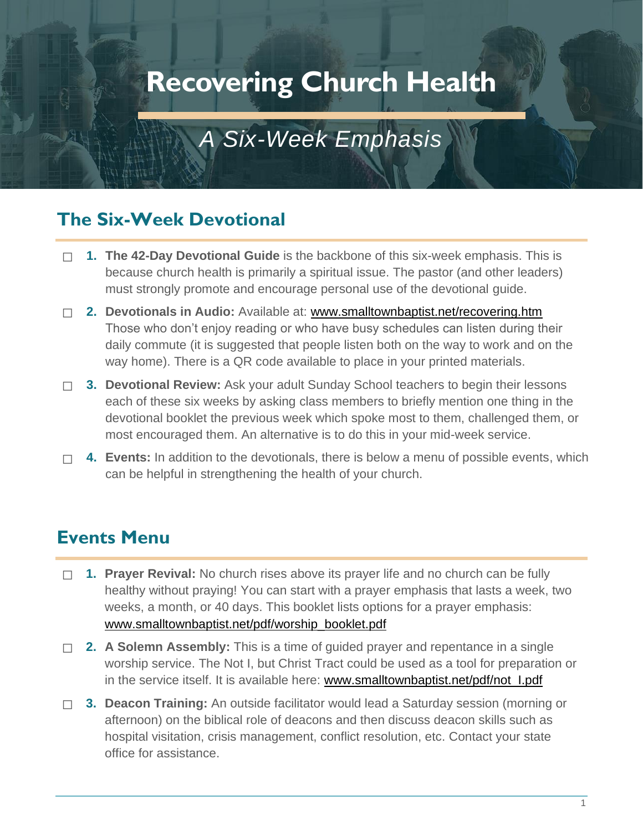# **Recovering Church Health**

## *A Six-Week Emphasis*

## **The Six-Week Devotional**

- ☐ **1. The 42-Day Devotional Guide** is the backbone of this six-week emphasis. This is because church health is primarily a spiritual issue. The pastor (and other leaders) must strongly promote and encourage personal use of the devotional guide.
- ☐ **2. Devotionals in Audio:** Available at: [www.smalltownbaptist.net/recovering.htm](http://www.smalltownbaptist.net/recovering.htm)  Those who don't enjoy reading or who have busy schedules can listen during their daily commute (it is suggested that people listen both on the way to work and on the way home). There is a QR code available to place in your printed materials.
- ☐ **3. Devotional Review:** Ask your adult Sunday School teachers to begin their lessons each of these six weeks by asking class members to briefly mention one thing in the devotional booklet the previous week which spoke most to them, challenged them, or most encouraged them. An alternative is to do this in your mid-week service.
- ☐ **4. Events:** In addition to the devotionals, there is below a menu of possible events, which can be helpful in strengthening the health of your church.

## **Events Menu**

- ☐ **1. Prayer Revival:** No church rises above its prayer life and no church can be fully healthy without praying! You can start with a prayer emphasis that lasts a week, two weeks, a month, or 40 days. This booklet lists options for a prayer emphasis: [www.smalltownbaptist.net/pdf/worship\\_booklet.pdf](http://www.smalltownbaptist.net/pdf/worship_booklet.pdf)
- ☐ **2. A Solemn Assembly:** This is a time of guided prayer and repentance in a single worship service. The Not I, but Christ Tract could be used as a tool for preparation or in the service itself. It is available here: www.smalltownbaptist.net/pdf/not\_l.pdf
- ☐ **3. Deacon Training:** An outside facilitator would lead a Saturday session (morning or afternoon) on the biblical role of deacons and then discuss deacon skills such as hospital visitation, crisis management, conflict resolution, etc. Contact your state office for assistance.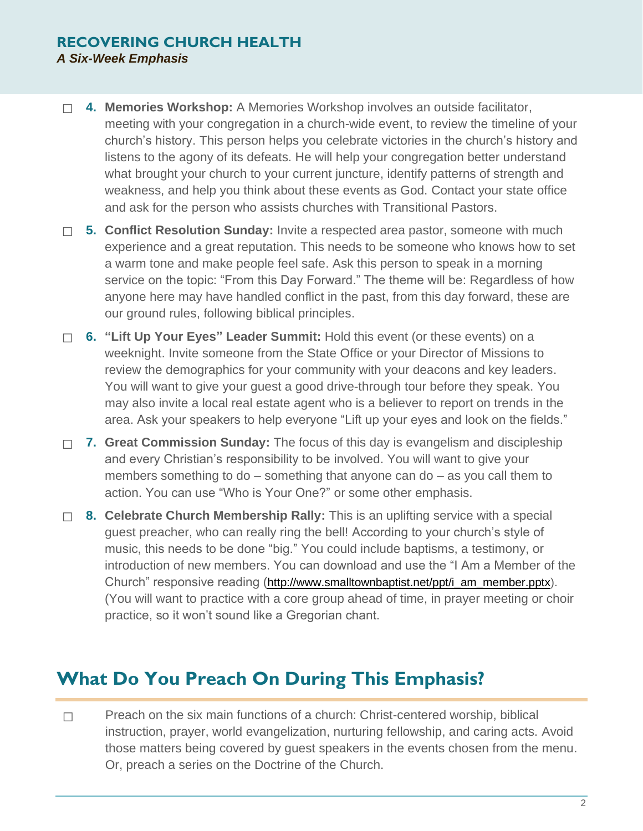#### **RECOVERING CHURCH HEALTH** *A Six-Week Emphasis*

- ☐ **4. Memories Workshop:** A Memories Workshop involves an outside facilitator, meeting with your congregation in a church-wide event, to review the timeline of your church's history. This person helps you celebrate victories in the church's history and listens to the agony of its defeats. He will help your congregation better understand what brought your church to your current juncture, identify patterns of strength and weakness, and help you think about these events as God. Contact your state office and ask for the person who assists churches with Transitional Pastors.
- ☐ **5. Conflict Resolution Sunday:** Invite a respected area pastor, someone with much experience and a great reputation. This needs to be someone who knows how to set a warm tone and make people feel safe. Ask this person to speak in a morning service on the topic: "From this Day Forward." The theme will be: Regardless of how anyone here may have handled conflict in the past, from this day forward, these are our ground rules, following biblical principles.
- ☐ **6. "Lift Up Your Eyes" Leader Summit:** Hold this event (or these events) on a weeknight. Invite someone from the State Office or your Director of Missions to review the demographics for your community with your deacons and key leaders. You will want to give your guest a good drive-through tour before they speak. You may also invite a local real estate agent who is a believer to report on trends in the area. Ask your speakers to help everyone "Lift up your eyes and look on the fields."
- ☐ **7. Great Commission Sunday:** The focus of this day is evangelism and discipleship and every Christian's responsibility to be involved. You will want to give your members something to do – something that anyone can do – as you call them to action. You can use "Who is Your One?" or some other emphasis.
- ☐ **8. Celebrate Church Membership Rally:** This is an uplifting service with a special guest preacher, who can really ring the bell! According to your church's style of music, this needs to be done "big." You could include baptisms, a testimony, or introduction of new members. You can download and use the "I Am a Member of the Church" responsive reading ([http://www.smalltownbaptist.net/ppt/i\\_am\\_member.pptx\)](http://www.smalltownbaptist.net/ppt/i_am_member.pptx). (You will want to practice with a core group ahead of time, in prayer meeting or choir practice, so it won't sound like a Gregorian chant.

## **What Do You Preach On During This Emphasis?**

□ Preach on the six main functions of a church: Christ-centered worship, biblical instruction, prayer, world evangelization, nurturing fellowship, and caring acts. Avoid those matters being covered by guest speakers in the events chosen from the menu. Or, preach a series on the Doctrine of the Church.